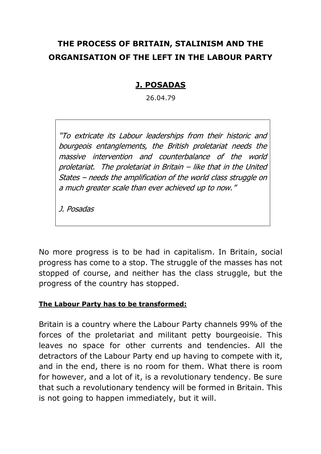# **THE PROCESS OF BRITAIN, STALINISM AND THE ORGANISATION OF THE LEFT IN THE LABOUR PARTY**

# **J. POSADAS**

26.04.79

"To extricate its Labour leaderships from their historic and bourgeois entanglements, the British proletariat needs the massive intervention and counterbalance of the world proletariat. The proletariat in Britain – like that in the United States – needs the amplification of the world class struggle on a much greater scale than ever achieved up to now."

J. Posadas

No more progress is to be had in capitalism. In Britain, social progress has come to a stop. The struggle of the masses has not stopped of course, and neither has the class struggle, but the progress of the country has stopped.

#### **The Labour Party has to be transformed:**

Britain is a country where the Labour Party channels 99% of the forces of the proletariat and militant petty bourgeoisie. This leaves no space for other currents and tendencies. All the detractors of the Labour Party end up having to compete with it, and in the end, there is no room for them. What there is room for however, and a lot of it, is a revolutionary tendency. Be sure that such a revolutionary tendency will be formed in Britain. This is not going to happen immediately, but it will.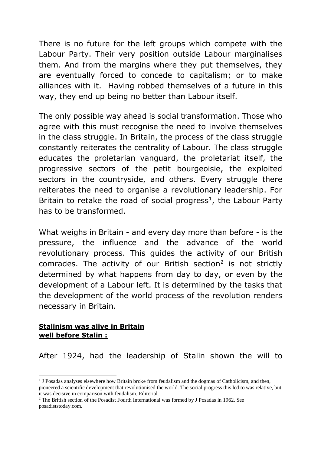There is no future for the left groups which compete with the Labour Party. Their very position outside Labour marginalises them. And from the margins where they put themselves, they are eventually forced to concede to capitalism; or to make alliances with it. Having robbed themselves of a future in this way, they end up being no better than Labour itself.

The only possible way ahead is social transformation. Those who agree with this must recognise the need to involve themselves in the class struggle. In Britain, the process of the class struggle constantly reiterates the centrality of Labour. The class struggle educates the proletarian vanguard, the proletariat itself, the progressive sectors of the petit bourgeoisie, the exploited sectors in the countryside, and others. Every struggle there reiterates the need to organise a revolutionary leadership. For Britain to retake the road of social progress $<sup>1</sup>$ , the Labour Party</sup> has to be transformed.

What weighs in Britain - and every day more than before - is the pressure, the influence and the advance of the world revolutionary process. This guides the activity of our British comrades. The activity of our British section<sup>2</sup> is not strictly determined by what happens from day to day, or even by the development of a Labour left. It is determined by the tasks that the development of the world process of the revolution renders necessary in Britain.

#### **Stalinism was alive in Britain well before Stalin :**

-

After 1924, had the leadership of Stalin shown the will to

<sup>&</sup>lt;sup>1</sup> J Posadas analyses elsewhere how Britain broke from feudalism and the dogmas of Catholicism, and then, pioneered a scientific development that revolutionised the world. The social progress this led to was relative, but

it was decisive in comparison with feudalism. Editorial.

<sup>2</sup> The British section of the Posadist Fourth International was formed by J Posadas in 1962. See posadiststoday.com.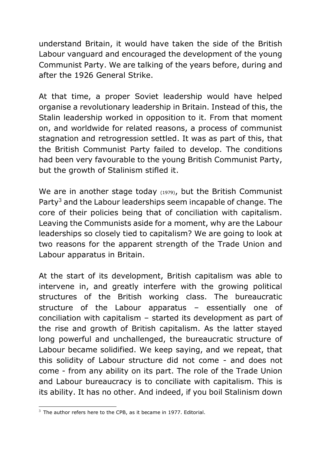understand Britain, it would have taken the side of the British Labour vanguard and encouraged the development of the young Communist Party. We are talking of the years before, during and after the 1926 General Strike.

At that time, a proper Soviet leadership would have helped organise a revolutionary leadership in Britain. Instead of this, the Stalin leadership worked in opposition to it. From that moment on, and worldwide for related reasons, a process of communist stagnation and retrogression settled. It was as part of this, that the British Communist Party failed to develop. The conditions had been very favourable to the young British Communist Party, but the growth of Stalinism stifled it.

We are in another stage today (1979), but the British Communist Party<sup>3</sup> and the Labour leaderships seem incapable of change. The core of their policies being that of conciliation with capitalism. Leaving the Communists aside for a moment, why are the Labour leaderships so closely tied to capitalism? We are going to look at two reasons for the apparent strength of the Trade Union and Labour apparatus in Britain.

At the start of its development, British capitalism was able to intervene in, and greatly interfere with the growing political structures of the British working class. The bureaucratic structure of the Labour apparatus – essentially one of conciliation with capitalism – started its development as part of the rise and growth of British capitalism. As the latter stayed long powerful and unchallenged, the bureaucratic structure of Labour became solidified. We keep saying, and we repeat, that this solidity of Labour structure did not come - and does not come - from any ability on its part. The role of the Trade Union and Labour bureaucracy is to conciliate with capitalism. This is its ability. It has no other. And indeed, if you boil Stalinism down

<sup>-</sup> $3$  The author refers here to the CPB, as it became in 1977. Editorial.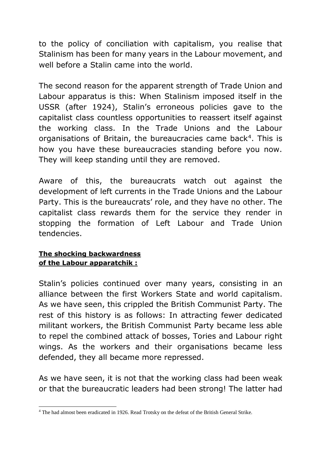to the policy of conciliation with capitalism, you realise that Stalinism has been for many years in the Labour movement, and well before a Stalin came into the world.

The second reason for the apparent strength of Trade Union and Labour apparatus is this: When Stalinism imposed itself in the USSR (after 1924), Stalin's erroneous policies gave to the capitalist class countless opportunities to reassert itself against the working class. In the Trade Unions and the Labour organisations of Britain, the bureaucracies came back<sup>4</sup>. This is how you have these bureaucracies standing before you now. They will keep standing until they are removed.

Aware of this, the bureaucrats watch out against the development of left currents in the Trade Unions and the Labour Party. This is the bureaucrats' role, and they have no other. The capitalist class rewards them for the service they render in stopping the formation of Left Labour and Trade Union tendencies.

#### **The shocking backwardness of the Labour apparatchik :**

Stalin's policies continued over many years, consisting in an alliance between the first Workers State and world capitalism. As we have seen, this crippled the British Communist Party. The rest of this history is as follows: In attracting fewer dedicated militant workers, the British Communist Party became less able to repel the combined attack of bosses, Tories and Labour right wings. As the workers and their organisations became less defended, they all became more repressed.

As we have seen, it is not that the working class had been weak or that the bureaucratic leaders had been strong! The latter had

<sup>-</sup><sup>4</sup> The had almost been eradicated in 1926. Read Trotsky on the defeat of the British General Strike.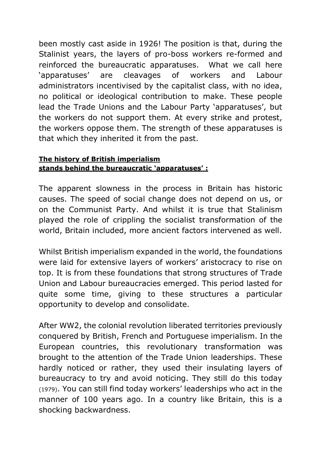been mostly cast aside in 1926! The position is that, during the Stalinist years, the layers of pro-boss workers re-formed and reinforced the bureaucratic apparatuses. What we call here 'apparatuses' are cleavages of workers and Labour administrators incentivised by the capitalist class, with no idea, no political or ideological contribution to make. These people lead the Trade Unions and the Labour Party 'apparatuses', but the workers do not support them. At every strike and protest, the workers oppose them. The strength of these apparatuses is that which they inherited it from the past.

#### **The history of British imperialism stands behind the bureaucratic 'apparatuses' :**

The apparent slowness in the process in Britain has historic causes. The speed of social change does not depend on us, or on the Communist Party. And whilst it is true that Stalinism played the role of crippling the socialist transformation of the world, Britain included, more ancient factors intervened as well.

Whilst British imperialism expanded in the world, the foundations were laid for extensive layers of workers' aristocracy to rise on top. It is from these foundations that strong structures of Trade Union and Labour bureaucracies emerged. This period lasted for quite some time, giving to these structures a particular opportunity to develop and consolidate.

After WW2, the colonial revolution liberated territories previously conquered by British, French and Portuguese imperialism. In the European countries, this revolutionary transformation was brought to the attention of the Trade Union leaderships. These hardly noticed or rather, they used their insulating layers of bureaucracy to try and avoid noticing. They still do this today (1979). You can still find today workers' leaderships who act in the manner of 100 years ago. In a country like Britain, this is a shocking backwardness.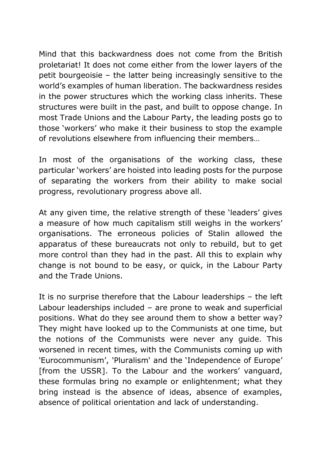Mind that this backwardness does not come from the British proletariat! It does not come either from the lower layers of the petit bourgeoisie – the latter being increasingly sensitive to the world's examples of human liberation. The backwardness resides in the power structures which the working class inherits. These structures were built in the past, and built to oppose change. In most Trade Unions and the Labour Party, the leading posts go to those 'workers' who make it their business to stop the example of revolutions elsewhere from influencing their members…

In most of the organisations of the working class, these particular 'workers' are hoisted into leading posts for the purpose of separating the workers from their ability to make social progress, revolutionary progress above all.

At any given time, the relative strength of these 'leaders' gives a measure of how much capitalism still weighs in the workers' organisations. The erroneous policies of Stalin allowed the apparatus of these bureaucrats not only to rebuild, but to get more control than they had in the past. All this to explain why change is not bound to be easy, or quick, in the Labour Party and the Trade Unions.

It is no surprise therefore that the Labour leaderships – the left Labour leaderships included – are prone to weak and superficial positions. What do they see around them to show a better way? They might have looked up to the Communists at one time, but the notions of the Communists were never any guide. This worsened in recent times, with the Communists coming up with 'Eurocommunism', 'Pluralism' and the 'Independence of Europe' [from the USSR]. To the Labour and the workers' vanguard, these formulas bring no example or enlightenment; what they bring instead is the absence of ideas, absence of examples, absence of political orientation and lack of understanding.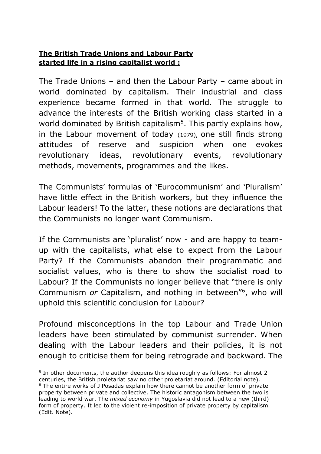## **The British Trade Unions and Labour Party started life in a rising capitalist world :**

The Trade Unions – and then the Labour Party – came about in world dominated by capitalism. Their industrial and class experience became formed in that world. The struggle to advance the interests of the British working class started in a world dominated by British capitalism<sup>5</sup>. This partly explains how, in the Labour movement of today (1979), one still finds strong attitudes of reserve and suspicion when one evokes revolutionary ideas, revolutionary events, revolutionary methods, movements, programmes and the likes.

The Communists' formulas of 'Eurocommunism' and 'Pluralism' have little effect in the British workers, but they influence the Labour leaders! To the latter, these notions are declarations that the Communists no longer want Communism.

If the Communists are 'pluralist' now - and are happy to teamup with the capitalists, what else to expect from the Labour Party? If the Communists abandon their programmatic and socialist values, who is there to show the socialist road to Labour? If the Communists no longer believe that "there is only Communism *or* Capitalism, and nothing in between"<sup>6</sup> , who will uphold this scientific conclusion for Labour?

Profound misconceptions in the top Labour and Trade Union leaders have been stimulated by communist surrender. When dealing with the Labour leaders and their policies, it is not enough to criticise them for being retrograde and backward. The

<sup>-</sup>5 In other documents, the author deepens this idea roughly as follows: For almost 2 centuries, the British proletariat saw no other proletariat around. (Editorial note).

<sup>&</sup>lt;sup>6</sup> The entire works of J Posadas explain how there cannot be another form of private property between private and collective. The historic antagonism between the two is leading to world war. The *mixed economy* in Yugoslavia did not lead to a new (third) form of property. It led to the violent re-imposition of private property by capitalism. (Edit. Note).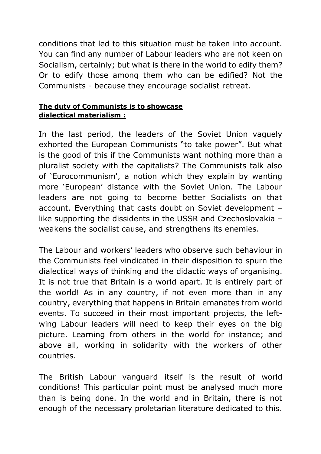conditions that led to this situation must be taken into account. You can find any number of Labour leaders who are not keen on Socialism, certainly; but what is there in the world to edify them? Or to edify those among them who can be edified? Not the Communists - because they encourage socialist retreat.

# **The duty of Communists is to showcase dialectical materialism :**

In the last period, the leaders of the Soviet Union vaguely exhorted the European Communists "to take power". But what is the good of this if the Communists want nothing more than a pluralist society with the capitalists? The Communists talk also of 'Eurocommunism', a notion which they explain by wanting more 'European' distance with the Soviet Union. The Labour leaders are not going to become better Socialists on that account. Everything that casts doubt on Soviet development – like supporting the dissidents in the USSR and Czechoslovakia – weakens the socialist cause, and strengthens its enemies.

The Labour and workers' leaders who observe such behaviour in the Communists feel vindicated in their disposition to spurn the dialectical ways of thinking and the didactic ways of organising. It is not true that Britain is a world apart. It is entirely part of the world! As in any country, if not even more than in any country, everything that happens in Britain emanates from world events. To succeed in their most important projects, the leftwing Labour leaders will need to keep their eyes on the big picture. Learning from others in the world for instance; and above all, working in solidarity with the workers of other countries.

The British Labour vanguard itself is the result of world conditions! This particular point must be analysed much more than is being done. In the world and in Britain, there is not enough of the necessary proletarian literature dedicated to this.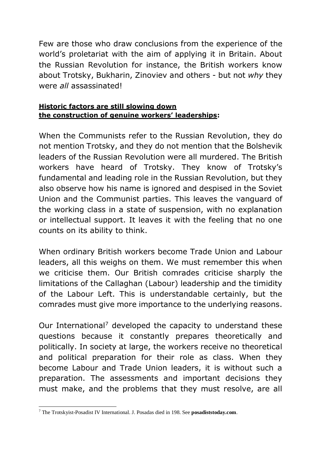Few are those who draw conclusions from the experience of the world's proletariat with the aim of applying it in Britain. About the Russian Revolution for instance, the British workers know about Trotsky, Bukharin, Zinoviev and others - but not *why* they were *all* assassinated!

## **Historic factors are still slowing down the construction of genuine workers' leaderships:**

When the Communists refer to the Russian Revolution, they do not mention Trotsky, and they do not mention that the Bolshevik leaders of the Russian Revolution were all murdered. The British workers have heard of Trotsky. They know of Trotsky's fundamental and leading role in the Russian Revolution, but they also observe how his name is ignored and despised in the Soviet Union and the Communist parties. This leaves the vanguard of the working class in a state of suspension, with no explanation or intellectual support. It leaves it with the feeling that no one counts on its ability to think.

When ordinary British workers become Trade Union and Labour leaders, all this weighs on them. We must remember this when we criticise them. Our British comrades criticise sharply the limitations of the Callaghan (Labour) leadership and the timidity of the Labour Left. This is understandable certainly, but the comrades must give more importance to the underlying reasons.

Our International<sup>7</sup> developed the capacity to understand these questions because it constantly prepares theoretically and politically. In society at large, the workers receive no theoretical and political preparation for their role as class. When they become Labour and Trade Union leaders, it is without such a preparation. The assessments and important decisions they must make, and the problems that they must resolve, are all

<sup>-</sup><sup>7</sup> The Trotskyist-Posadist IV International. J. Posadas died in 198. See **posadiststoday.com**.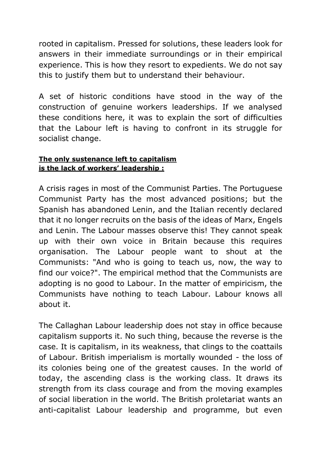rooted in capitalism. Pressed for solutions, these leaders look for answers in their immediate surroundings or in their empirical experience. This is how they resort to expedients. We do not say this to justify them but to understand their behaviour.

A set of historic conditions have stood in the way of the construction of genuine workers leaderships. If we analysed these conditions here, it was to explain the sort of difficulties that the Labour left is having to confront in its struggle for socialist change.

## **The only sustenance left to capitalism is the lack of workers' leadership :**

A crisis rages in most of the Communist Parties. The Portuguese Communist Party has the most advanced positions; but the Spanish has abandoned Lenin, and the Italian recently declared that it no longer recruits on the basis of the ideas of Marx, Engels and Lenin. The Labour masses observe this! They cannot speak up with their own voice in Britain because this requires organisation. The Labour people want to shout at the Communists: "And who is going to teach us, now, the way to find our voice?". The empirical method that the Communists are adopting is no good to Labour. In the matter of empiricism, the Communists have nothing to teach Labour. Labour knows all about it.

The Callaghan Labour leadership does not stay in office because capitalism supports it. No such thing, because the reverse is the case. It is capitalism, in its weakness, that clings to the coattails of Labour. British imperialism is mortally wounded - the loss of its colonies being one of the greatest causes. In the world of today, the ascending class is the working class. It draws its strength from its class courage and from the moving examples of social liberation in the world. The British proletariat wants an anti-capitalist Labour leadership and programme, but even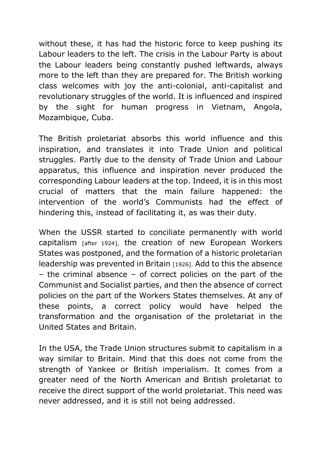without these, it has had the historic force to keep pushing its Labour leaders to the left. The crisis in the Labour Party is about the Labour leaders being constantly pushed leftwards, always more to the left than they are prepared for. The British working class welcomes with joy the anti-colonial, anti-capitalist and revolutionary struggles of the world. It is influenced and inspired by the sight for human progress in Vietnam, Angola, Mozambique, Cuba.

The British proletariat absorbs this world influence and this inspiration, and translates it into Trade Union and political struggles. Partly due to the density of Trade Union and Labour apparatus, this influence and inspiration never produced the corresponding Labour leaders at the top. Indeed, it is in this most crucial of matters that the main failure happened: the intervention of the world's Communists had the effect of hindering this, instead of facilitating it, as was their duty.

When the USSR started to conciliate permanently with world capitalism [after 1924], the creation of new European Workers States was postponed, and the formation of a historic proletarian leadership was prevented in Britain [1926]. Add to this the absence – the criminal absence – of correct policies on the part of the Communist and Socialist parties, and then the absence of correct policies on the part of the Workers States themselves. At any of these points, a correct policy would have helped the transformation and the organisation of the proletariat in the United States and Britain.

In the USA, the Trade Union structures submit to capitalism in a way similar to Britain. Mind that this does not come from the strength of Yankee or British imperialism. It comes from a greater need of the North American and British proletariat to receive the direct support of the world proletariat. This need was never addressed, and it is still not being addressed.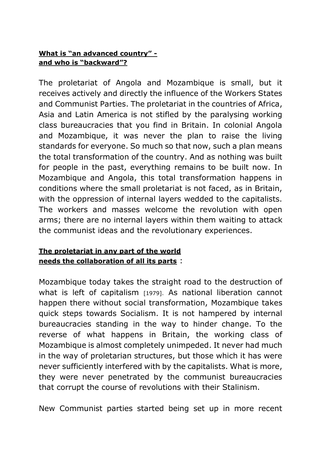## **What is "an advanced country" and who is "backward"?**

The proletariat of Angola and Mozambique is small, but it receives actively and directly the influence of the Workers States and Communist Parties. The proletariat in the countries of Africa, Asia and Latin America is not stifled by the paralysing working class bureaucracies that you find in Britain. In colonial Angola and Mozambique, it was never the plan to raise the living standards for everyone. So much so that now, such a plan means the total transformation of the country. And as nothing was built for people in the past, everything remains to be built now. In Mozambique and Angola, this total transformation happens in conditions where the small proletariat is not faced, as in Britain, with the oppression of internal layers wedded to the capitalists. The workers and masses welcome the revolution with open arms; there are no internal layers within them waiting to attack the communist ideas and the revolutionary experiences.

# **The proletariat in any part of the world needs the collaboration of all its parts** :

Mozambique today takes the straight road to the destruction of what is left of capitalism [1979]. As national liberation cannot happen there without social transformation, Mozambique takes quick steps towards Socialism. It is not hampered by internal bureaucracies standing in the way to hinder change. To the reverse of what happens in Britain, the working class of Mozambique is almost completely unimpeded. It never had much in the way of proletarian structures, but those which it has were never sufficiently interfered with by the capitalists. What is more, they were never penetrated by the communist bureaucracies that corrupt the course of revolutions with their Stalinism.

New Communist parties started being set up in more recent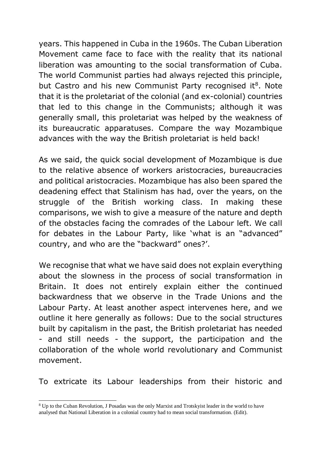years. This happened in Cuba in the 1960s. The Cuban Liberation Movement came face to face with the reality that its national liberation was amounting to the social transformation of Cuba. The world Communist parties had always rejected this principle, but Castro and his new Communist Party recognised it<sup>8</sup>. Note that it is the proletariat of the colonial (and ex-colonial) countries that led to this change in the Communists; although it was generally small, this proletariat was helped by the weakness of its bureaucratic apparatuses. Compare the way Mozambique advances with the way the British proletariat is held back!

As we said, the quick social development of Mozambique is due to the relative absence of workers aristocracies, bureaucracies and political aristocracies. Mozambique has also been spared the deadening effect that Stalinism has had, over the years, on the struggle of the British working class. In making these comparisons, we wish to give a measure of the nature and depth of the obstacles facing the comrades of the Labour left. We call for debates in the Labour Party, like 'what is an "advanced" country, and who are the "backward" ones?'.

We recognise that what we have said does not explain everything about the slowness in the process of social transformation in Britain. It does not entirely explain either the continued backwardness that we observe in the Trade Unions and the Labour Party. At least another aspect intervenes here, and we outline it here generally as follows: Due to the social structures built by capitalism in the past, the British proletariat has needed - and still needs - the support, the participation and the collaboration of the whole world revolutionary and Communist movement.

To extricate its Labour leaderships from their historic and

<sup>8</sup> Up to the Cuban Revolution, J Posadas was the only Marxist and Trotskyist leader in the world to have analysed that National Liberation in a colonial country had to mean social transformation. (Edit).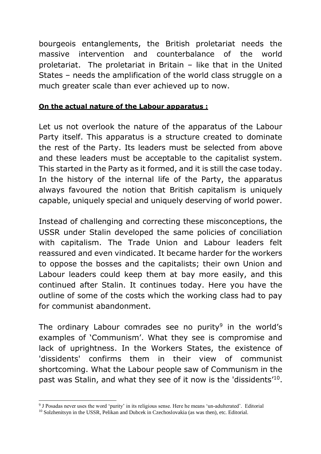bourgeois entanglements, the British proletariat needs the massive intervention and counterbalance of the world proletariat. The proletariat in Britain – like that in the United States – needs the amplification of the world class struggle on a much greater scale than ever achieved up to now.

## **On the actual nature of the Labour apparatus :**

Let us not overlook the nature of the apparatus of the Labour Party itself. This apparatus is a structure created to dominate the rest of the Party. Its leaders must be selected from above and these leaders must be acceptable to the capitalist system. This started in the Party as it formed, and it is still the case today. In the history of the internal life of the Party, the apparatus always favoured the notion that British capitalism is uniquely capable, uniquely special and uniquely deserving of world power.

Instead of challenging and correcting these misconceptions, the USSR under Stalin developed the same policies of conciliation with capitalism. The Trade Union and Labour leaders felt reassured and even vindicated. It became harder for the workers to oppose the bosses and the capitalists; their own Union and Labour leaders could keep them at bay more easily, and this continued after Stalin. It continues today. Here you have the outline of some of the costs which the working class had to pay for communist abandonment.

The ordinary Labour comrades see no purity<sup>9</sup> in the world's examples of 'Communism'. What they see is compromise and lack of uprightness. In the Workers States, the existence of 'dissidents' confirms them in their view of communist shortcoming. What the Labour people saw of Communism in the past was Stalin, and what they see of it now is the 'dissidents'<sup>10</sup>.

<sup>&</sup>lt;sup>9</sup> J Posadas never uses the word 'purity' in its religious sense. Here he means 'un-adulterated'. Editorial

<sup>&</sup>lt;sup>10</sup> Solzhenitsyn in the USSR, Pelikan and Dubcek in Czechoslovakia (as was then), etc. Editorial.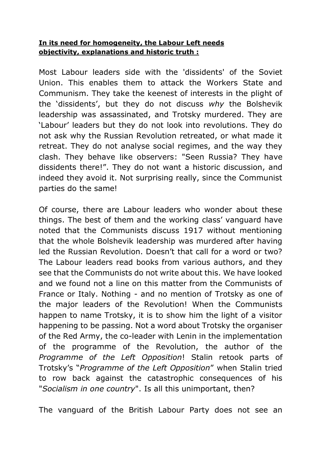#### **In its need for homogeneity, the Labour Left needs objectivity, explanations and historic truth :**

Most Labour leaders side with the 'dissidents' of the Soviet Union. This enables them to attack the Workers State and Communism. They take the keenest of interests in the plight of the 'dissidents', but they do not discuss *why* the Bolshevik leadership was assassinated, and Trotsky murdered. They are 'Labour' leaders but they do not look into revolutions. They do not ask why the Russian Revolution retreated, or what made it retreat. They do not analyse social regimes, and the way they clash. They behave like observers: "Seen Russia? They have dissidents there!". They do not want a historic discussion, and indeed they avoid it. Not surprising really, since the Communist parties do the same!

Of course, there are Labour leaders who wonder about these things. The best of them and the working class' vanguard have noted that the Communists discuss 1917 without mentioning that the whole Bolshevik leadership was murdered after having led the Russian Revolution. Doesn't that call for a word or two? The Labour leaders read books from various authors, and they see that the Communists do not write about this. We have looked and we found not a line on this matter from the Communists of France or Italy. Nothing - and no mention of Trotsky as one of the major leaders of the Revolution! When the Communists happen to name Trotsky, it is to show him the light of a visitor happening to be passing. Not a word about Trotsky the organiser of the Red Army, the co-leader with Lenin in the implementation of the programme of the Revolution, the author of the *Programme of the Left Opposition*! Stalin retook parts of Trotsky's "*Programme of the Left Opposition*" when Stalin tried to row back against the catastrophic consequences of his "*Socialism in one country*". Is all this unimportant, then?

The vanguard of the British Labour Party does not see an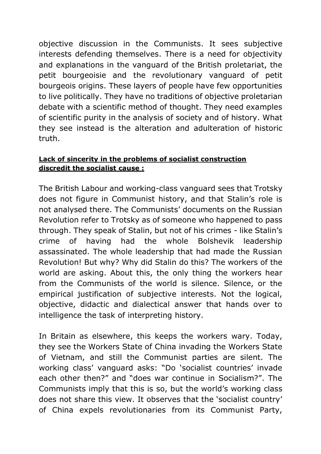objective discussion in the Communists. It sees subjective interests defending themselves. There is a need for objectivity and explanations in the vanguard of the British proletariat, the petit bourgeoisie and the revolutionary vanguard of petit bourgeois origins. These layers of people have few opportunities to live politically. They have no traditions of objective proletarian debate with a scientific method of thought. They need examples of scientific purity in the analysis of society and of history. What they see instead is the alteration and adulteration of historic truth.

# **Lack of sincerity in the problems of socialist construction discredit the socialist cause :**

The British Labour and working-class vanguard sees that Trotsky does not figure in Communist history, and that Stalin's role is not analysed there. The Communists' documents on the Russian Revolution refer to Trotsky as of someone who happened to pass through. They speak of Stalin, but not of his crimes - like Stalin's crime of having had the whole Bolshevik leadership assassinated. The whole leadership that had made the Russian Revolution! But why? Why did Stalin do this? The workers of the world are asking. About this, the only thing the workers hear from the Communists of the world is silence. Silence, or the empirical justification of subjective interests. Not the logical, objective, didactic and dialectical answer that hands over to intelligence the task of interpreting history.

In Britain as elsewhere, this keeps the workers wary. Today, they see the Workers State of China invading the Workers State of Vietnam, and still the Communist parties are silent. The working class' vanguard asks: "Do 'socialist countries' invade each other then?" and "does war continue in Socialism?". The Communists imply that this is so, but the world's working class does not share this view. It observes that the 'socialist country' of China expels revolutionaries from its Communist Party,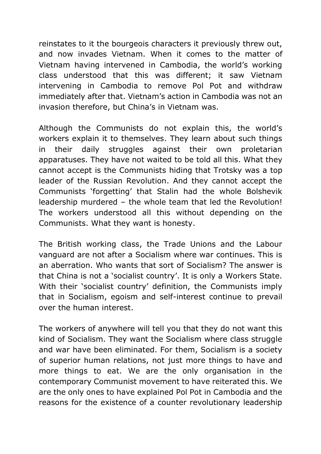reinstates to it the bourgeois characters it previously threw out, and now invades Vietnam. When it comes to the matter of Vietnam having intervened in Cambodia, the world's working class understood that this was different; it saw Vietnam intervening in Cambodia to remove Pol Pot and withdraw immediately after that. Vietnam's action in Cambodia was not an invasion therefore, but China's in Vietnam was.

Although the Communists do not explain this, the world's workers explain it to themselves. They learn about such things in their daily struggles against their own proletarian apparatuses. They have not waited to be told all this. What they cannot accept is the Communists hiding that Trotsky was a top leader of the Russian Revolution. And they cannot accept the Communists 'forgetting' that Stalin had the whole Bolshevik leadership murdered – the whole team that led the Revolution! The workers understood all this without depending on the Communists. What they want is honesty.

The British working class, the Trade Unions and the Labour vanguard are not after a Socialism where war continues. This is an aberration. Who wants that sort of Socialism? The answer is that China is not a 'socialist country'. It is only a Workers State. With their 'socialist country' definition, the Communists imply that in Socialism, egoism and self-interest continue to prevail over the human interest.

The workers of anywhere will tell you that they do not want this kind of Socialism. They want the Socialism where class struggle and war have been eliminated. For them, Socialism is a society of superior human relations, not just more things to have and more things to eat. We are the only organisation in the contemporary Communist movement to have reiterated this. We are the only ones to have explained Pol Pot in Cambodia and the reasons for the existence of a counter revolutionary leadership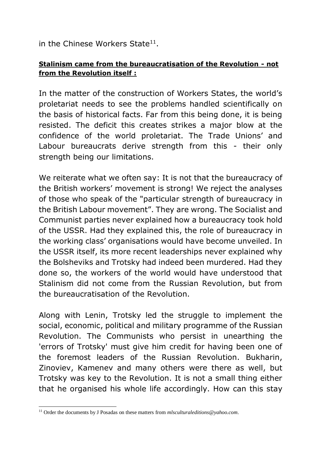in the Chinese Workers State $^{11}$ .

# **Stalinism came from the bureaucratisation of the Revolution - not from the Revolution itself :**

In the matter of the construction of Workers States, the world's proletariat needs to see the problems handled scientifically on the basis of historical facts. Far from this being done, it is being resisted. The deficit this creates strikes a major blow at the confidence of the world proletariat. The Trade Unions' and Labour bureaucrats derive strength from this - their only strength being our limitations.

We reiterate what we often say: It is not that the bureaucracy of the British workers' movement is strong! We reject the analyses of those who speak of the "particular strength of bureaucracy in the British Labour movement". They are wrong. The Socialist and Communist parties never explained how a bureaucracy took hold of the USSR. Had they explained this, the role of bureaucracy in the working class' organisations would have become unveiled. In the USSR itself, its more recent leaderships never explained why the Bolsheviks and Trotsky had indeed been murdered. Had they done so, the workers of the world would have understood that Stalinism did not come from the Russian Revolution, but from the bureaucratisation of the Revolution.

Along with Lenin, Trotsky led the struggle to implement the social, economic, political and military programme of the Russian Revolution. The Communists who persist in unearthing the 'errors of Trotsky' must give him credit for having been one of the foremost leaders of the Russian Revolution. Bukharin, Zinoviev, Kamenev and many others were there as well, but Trotsky was key to the Revolution. It is not a small thing either that he organised his whole life accordingly. How can this stay

<sup>-</sup><sup>11</sup> Order the documents by J Posadas on these matters from *mlsculturaleditions@yahoo.com*.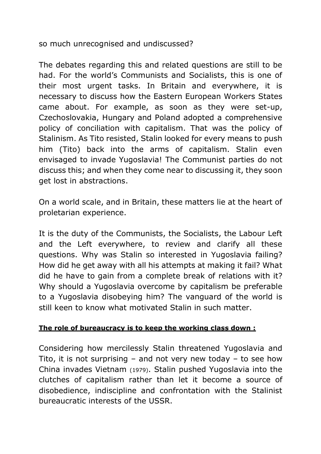so much unrecognised and undiscussed?

The debates regarding this and related questions are still to be had. For the world's Communists and Socialists, this is one of their most urgent tasks. In Britain and everywhere, it is necessary to discuss how the Eastern European Workers States came about. For example, as soon as they were set-up, Czechoslovakia, Hungary and Poland adopted a comprehensive policy of conciliation with capitalism. That was the policy of Stalinism. As Tito resisted, Stalin looked for every means to push him (Tito) back into the arms of capitalism. Stalin even envisaged to invade Yugoslavia! The Communist parties do not discuss this; and when they come near to discussing it, they soon get lost in abstractions.

On a world scale, and in Britain, these matters lie at the heart of proletarian experience.

It is the duty of the Communists, the Socialists, the Labour Left and the Left everywhere, to review and clarify all these questions. Why was Stalin so interested in Yugoslavia failing? How did he get away with all his attempts at making it fail? What did he have to gain from a complete break of relations with it? Why should a Yugoslavia overcome by capitalism be preferable to a Yugoslavia disobeying him? The vanguard of the world is still keen to know what motivated Stalin in such matter.

#### **The role of bureaucracy is to keep the working class down :**

Considering how mercilessly Stalin threatened Yugoslavia and Tito, it is not surprising  $-$  and not very new today  $-$  to see how China invades Vietnam (1979). Stalin pushed Yugoslavia into the clutches of capitalism rather than let it become a source of disobedience, indiscipline and confrontation with the Stalinist bureaucratic interests of the USSR.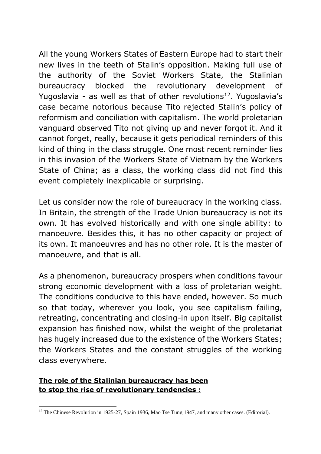All the young Workers States of Eastern Europe had to start their new lives in the teeth of Stalin's opposition. Making full use of the authority of the Soviet Workers State, the Stalinian bureaucracy blocked the revolutionary development of Yugoslavia - as well as that of other revolutions<sup>12</sup>. Yugoslavia's case became notorious because Tito rejected Stalin's policy of reformism and conciliation with capitalism. The world proletarian vanguard observed Tito not giving up and never forgot it. And it cannot forget, really, because it gets periodical reminders of this kind of thing in the class struggle. One most recent reminder lies in this invasion of the Workers State of Vietnam by the Workers State of China; as a class, the working class did not find this event completely inexplicable or surprising.

Let us consider now the role of bureaucracy in the working class. In Britain, the strength of the Trade Union bureaucracy is not its own. It has evolved historically and with one single ability: to manoeuvre. Besides this, it has no other capacity or project of its own. It manoeuvres and has no other role. It is the master of manoeuvre, and that is all.

As a phenomenon, bureaucracy prospers when conditions favour strong economic development with a loss of proletarian weight. The conditions conducive to this have ended, however. So much so that today, wherever you look, you see capitalism failing, retreating, concentrating and closing-in upon itself. Big capitalist expansion has finished now, whilst the weight of the proletariat has hugely increased due to the existence of the Workers States; the Workers States and the constant struggles of the working class everywhere.

#### **The role of the Stalinian bureaucracy has been to stop the rise of revolutionary tendencies :**

<sup>-</sup><sup>12</sup> The Chinese Revolution in 1925-27, Spain 1936, Mao Tse Tung 1947, and many other cases. (Editorial).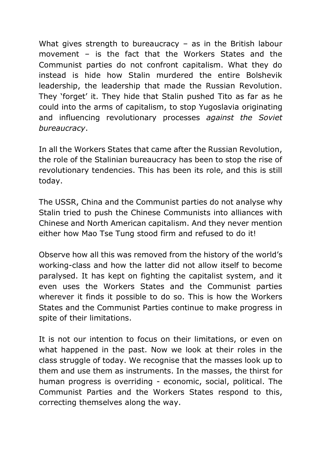What gives strength to bureaucracy – as in the British labour movement – is the fact that the Workers States and the Communist parties do not confront capitalism. What they do instead is hide how Stalin murdered the entire Bolshevik leadership, the leadership that made the Russian Revolution. They 'forget' it. They hide that Stalin pushed Tito as far as he could into the arms of capitalism, to stop Yugoslavia originating and influencing revolutionary processes *against the Soviet bureaucracy*.

In all the Workers States that came after the Russian Revolution, the role of the Stalinian bureaucracy has been to stop the rise of revolutionary tendencies. This has been its role, and this is still today.

The USSR, China and the Communist parties do not analyse why Stalin tried to push the Chinese Communists into alliances with Chinese and North American capitalism. And they never mention either how Mao Tse Tung stood firm and refused to do it!

Observe how all this was removed from the history of the world's working-class and how the latter did not allow itself to become paralysed. It has kept on fighting the capitalist system, and it even uses the Workers States and the Communist parties wherever it finds it possible to do so. This is how the Workers States and the Communist Parties continue to make progress in spite of their limitations.

It is not our intention to focus on their limitations, or even on what happened in the past. Now we look at their roles in the class struggle of today. We recognise that the masses look up to them and use them as instruments. In the masses, the thirst for human progress is overriding - economic, social, political. The Communist Parties and the Workers States respond to this, correcting themselves along the way.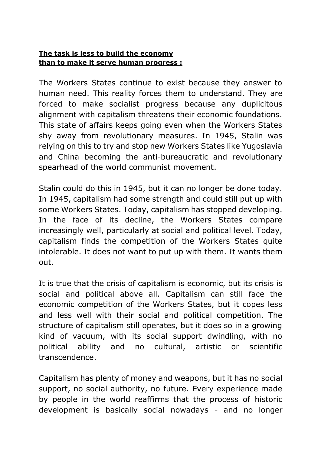#### **The task is less to build the economy than to make it serve human progress :**

The Workers States continue to exist because they answer to human need. This reality forces them to understand. They are forced to make socialist progress because any duplicitous alignment with capitalism threatens their economic foundations. This state of affairs keeps going even when the Workers States shy away from revolutionary measures. In 1945, Stalin was relying on this to try and stop new Workers States like Yugoslavia and China becoming the anti-bureaucratic and revolutionary spearhead of the world communist movement.

Stalin could do this in 1945, but it can no longer be done today. In 1945, capitalism had some strength and could still put up with some Workers States. Today, capitalism has stopped developing. In the face of its decline, the Workers States compare increasingly well, particularly at social and political level. Today, capitalism finds the competition of the Workers States quite intolerable. It does not want to put up with them. It wants them out.

It is true that the crisis of capitalism is economic, but its crisis is social and political above all. Capitalism can still face the economic competition of the Workers States, but it copes less and less well with their social and political competition. The structure of capitalism still operates, but it does so in a growing kind of vacuum, with its social support dwindling, with no political ability and no cultural, artistic or scientific transcendence.

Capitalism has plenty of money and weapons, but it has no social support, no social authority, no future. Every experience made by people in the world reaffirms that the process of historic development is basically social nowadays - and no longer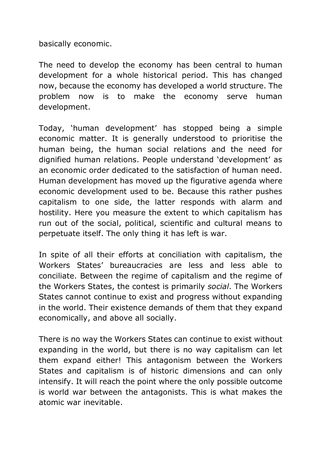basically economic.

The need to develop the economy has been central to human development for a whole historical period. This has changed now, because the economy has developed a world structure. The problem now is to make the economy serve human development.

Today, 'human development' has stopped being a simple economic matter. It is generally understood to prioritise the human being, the human social relations and the need for dignified human relations. People understand 'development' as an economic order dedicated to the satisfaction of human need. Human development has moved up the figurative agenda where economic development used to be. Because this rather pushes capitalism to one side, the latter responds with alarm and hostility. Here you measure the extent to which capitalism has run out of the social, political, scientific and cultural means to perpetuate itself. The only thing it has left is war.

In spite of all their efforts at conciliation with capitalism, the Workers States' bureaucracies are less and less able to conciliate. Between the regime of capitalism and the regime of the Workers States, the contest is primarily *social*. The Workers States cannot continue to exist and progress without expanding in the world. Their existence demands of them that they expand economically, and above all socially.

There is no way the Workers States can continue to exist without expanding in the world, but there is no way capitalism can let them expand either! This antagonism between the Workers States and capitalism is of historic dimensions and can only intensify. It will reach the point where the only possible outcome is world war between the antagonists. This is what makes the atomic war inevitable.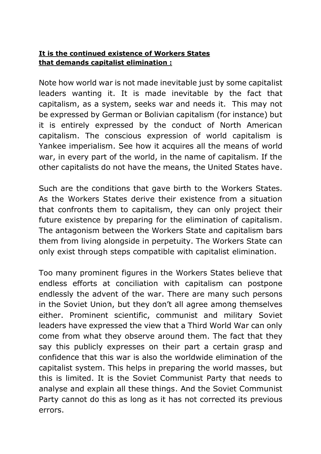#### **It is the continued existence of Workers States that demands capitalist elimination :**

Note how world war is not made inevitable just by some capitalist leaders wanting it. It is made inevitable by the fact that capitalism, as a system, seeks war and needs it. This may not be expressed by German or Bolivian capitalism (for instance) but it is entirely expressed by the conduct of North American capitalism. The conscious expression of world capitalism is Yankee imperialism. See how it acquires all the means of world war, in every part of the world, in the name of capitalism. If the other capitalists do not have the means, the United States have.

Such are the conditions that gave birth to the Workers States. As the Workers States derive their existence from a situation that confronts them to capitalism, they can only project their future existence by preparing for the elimination of capitalism. The antagonism between the Workers State and capitalism bars them from living alongside in perpetuity. The Workers State can only exist through steps compatible with capitalist elimination.

Too many prominent figures in the Workers States believe that endless efforts at conciliation with capitalism can postpone endlessly the advent of the war. There are many such persons in the Soviet Union, but they don't all agree among themselves either. Prominent scientific, communist and military Soviet leaders have expressed the view that a Third World War can only come from what they observe around them. The fact that they say this publicly expresses on their part a certain grasp and confidence that this war is also the worldwide elimination of the capitalist system. This helps in preparing the world masses, but this is limited. It is the Soviet Communist Party that needs to analyse and explain all these things. And the Soviet Communist Party cannot do this as long as it has not corrected its previous errors.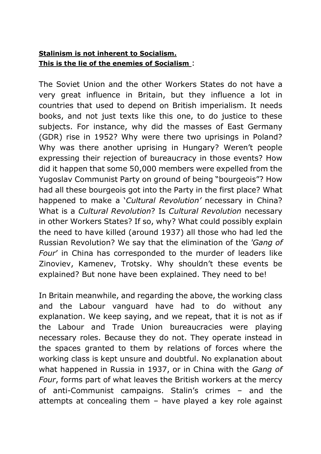# **Stalinism is not inherent to Socialism. This is the lie of the enemies of Socialism** :

The Soviet Union and the other Workers States do not have a very great influence in Britain, but they influence a lot in countries that used to depend on British imperialism. It needs books, and not just texts like this one, to do justice to these subjects. For instance, why did the masses of East Germany (GDR) rise in 1952? Why were there two uprisings in Poland? Why was there another uprising in Hungary? Weren't people expressing their rejection of bureaucracy in those events? How did it happen that some 50,000 members were expelled from the Yugoslav Communist Party on ground of being "bourgeois"? How had all these bourgeois got into the Party in the first place? What happened to make a '*Cultural Revolution'* necessary in China? What is a *Cultural Revolution*? Is *Cultural Revolution* necessary in other Workers States? If so, why? What could possibly explain the need to have killed (around 1937) all those who had led the Russian Revolution? We say that the elimination of the *'Gang of Four*' in China has corresponded to the murder of leaders like Zinoviev, Kamenev, Trotsky. Why shouldn't these events be explained? But none have been explained. They need to be!

In Britain meanwhile, and regarding the above, the working class and the Labour vanguard have had to do without any explanation. We keep saying, and we repeat, that it is not as if the Labour and Trade Union bureaucracies were playing necessary roles. Because they do not. They operate instead in the spaces granted to them by relations of forces where the working class is kept unsure and doubtful. No explanation about what happened in Russia in 1937, or in China with the *Gang of Four*, forms part of what leaves the British workers at the mercy of anti-Communist campaigns. Stalin's crimes – and the attempts at concealing them – have played a key role against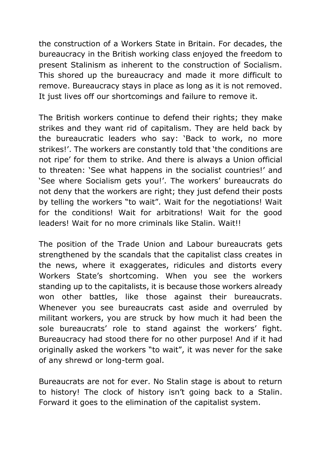the construction of a Workers State in Britain. For decades, the bureaucracy in the British working class enjoyed the freedom to present Stalinism as inherent to the construction of Socialism. This shored up the bureaucracy and made it more difficult to remove. Bureaucracy stays in place as long as it is not removed. It just lives off our shortcomings and failure to remove it.

The British workers continue to defend their rights; they make strikes and they want rid of capitalism. They are held back by the bureaucratic leaders who say: 'Back to work, no more strikes!'. The workers are constantly told that 'the conditions are not ripe' for them to strike. And there is always a Union official to threaten: 'See what happens in the socialist countries!' and 'See where Socialism gets you!'. The workers' bureaucrats do not deny that the workers are right; they just defend their posts by telling the workers "to wait". Wait for the negotiations! Wait for the conditions! Wait for arbitrations! Wait for the good leaders! Wait for no more criminals like Stalin. Wait!!

The position of the Trade Union and Labour bureaucrats gets strengthened by the scandals that the capitalist class creates in the news, where it exaggerates, ridicules and distorts every Workers State's shortcoming. When you see the workers standing up to the capitalists, it is because those workers already won other battles, like those against their bureaucrats. Whenever you see bureaucrats cast aside and overruled by militant workers, you are struck by how much it had been the sole bureaucrats' role to stand against the workers' fight. Bureaucracy had stood there for no other purpose! And if it had originally asked the workers "to wait", it was never for the sake of any shrewd or long-term goal.

Bureaucrats are not for ever. No Stalin stage is about to return to history! The clock of history isn't going back to a Stalin. Forward it goes to the elimination of the capitalist system.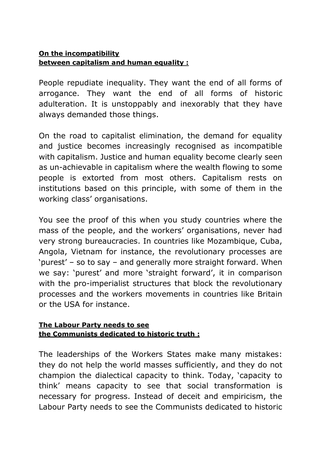#### **On the incompatibility between capitalism and human equality :**

People repudiate inequality. They want the end of all forms of arrogance. They want the end of all forms of historic adulteration. It is unstoppably and inexorably that they have always demanded those things.

On the road to capitalist elimination, the demand for equality and justice becomes increasingly recognised as incompatible with capitalism. Justice and human equality become clearly seen as un-achievable in capitalism where the wealth flowing to some people is extorted from most others. Capitalism rests on institutions based on this principle, with some of them in the working class' organisations.

You see the proof of this when you study countries where the mass of the people, and the workers' organisations, never had very strong bureaucracies. In countries like Mozambique, Cuba, Angola, Vietnam for instance, the revolutionary processes are 'purest' – so to say – and generally more straight forward. When we say: 'purest' and more 'straight forward', it in comparison with the pro-imperialist structures that block the revolutionary processes and the workers movements in countries like Britain or the USA for instance.

#### **The Labour Party needs to see the Communists dedicated to historic truth :**

The leaderships of the Workers States make many mistakes: they do not help the world masses sufficiently, and they do not champion the dialectical capacity to think. Today, 'capacity to think' means capacity to see that social transformation is necessary for progress. Instead of deceit and empiricism, the Labour Party needs to see the Communists dedicated to historic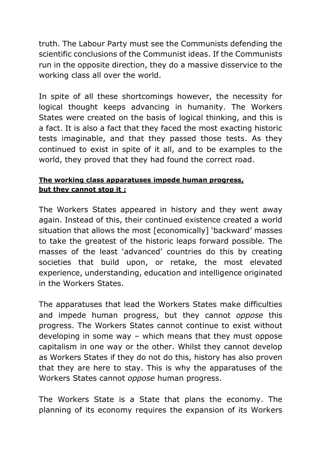truth. The Labour Party must see the Communists defending the scientific conclusions of the Communist ideas. If the Communists run in the opposite direction, they do a massive disservice to the working class all over the world.

In spite of all these shortcomings however, the necessity for logical thought keeps advancing in humanity. The Workers States were created on the basis of logical thinking, and this is a fact. It is also a fact that they faced the most exacting historic tests imaginable, and that they passed those tests. As they continued to exist in spite of it all, and to be examples to the world, they proved that they had found the correct road.

# **The working class apparatuses impede human progress, but they cannot stop it :**

The Workers States appeared in history and they went away again. Instead of this, their continued existence created a world situation that allows the most [economically] 'backward' masses to take the greatest of the historic leaps forward possible. The masses of the least 'advanced' countries do this by creating societies that build upon, or retake, the most elevated experience, understanding, education and intelligence originated in the Workers States.

The apparatuses that lead the Workers States make difficulties and impede human progress, but they cannot *oppose* this progress. The Workers States cannot continue to exist without developing in some way – which means that they must oppose capitalism in one way or the other. Whilst they cannot develop as Workers States if they do not do this, history has also proven that they are here to stay. This is why the apparatuses of the Workers States cannot *oppose* human progress.

The Workers State is a State that plans the economy. The planning of its economy requires the expansion of its Workers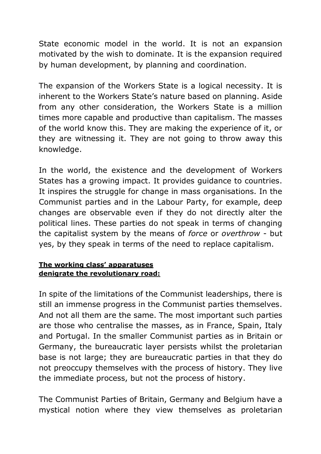State economic model in the world. It is not an expansion motivated by the wish to dominate. It is the expansion required by human development, by planning and coordination.

The expansion of the Workers State is a logical necessity. It is inherent to the Workers State's nature based on planning. Aside from any other consideration, the Workers State is a million times more capable and productive than capitalism. The masses of the world know this. They are making the experience of it, or they are witnessing it. They are not going to throw away this knowledge.

In the world, the existence and the development of Workers States has a growing impact. It provides guidance to countries. It inspires the struggle for change in mass organisations. In the Communist parties and in the Labour Party, for example, deep changes are observable even if they do not directly alter the political lines. These parties do not speak in terms of changing the capitalist system by the means of *force* or *overthrow* - but yes, by they speak in terms of the need to replace capitalism.

# **The working class' apparatuses denigrate the revolutionary road:**

In spite of the limitations of the Communist leaderships, there is still an immense progress in the Communist parties themselves. And not all them are the same. The most important such parties are those who centralise the masses, as in France, Spain, Italy and Portugal. In the smaller Communist parties as in Britain or Germany, the bureaucratic layer persists whilst the proletarian base is not large; they are bureaucratic parties in that they do not preoccupy themselves with the process of history. They live the immediate process, but not the process of history.

The Communist Parties of Britain, Germany and Belgium have a mystical notion where they view themselves as proletarian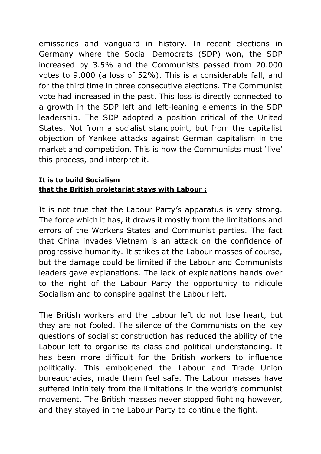emissaries and vanguard in history. In recent elections in Germany where the Social Democrats (SDP) won, the SDP increased by 3.5% and the Communists passed from 20.000 votes to 9.000 (a loss of 52%). This is a considerable fall, and for the third time in three consecutive elections. The Communist vote had increased in the past. This loss is directly connected to a growth in the SDP left and left-leaning elements in the SDP leadership. The SDP adopted a position critical of the United States. Not from a socialist standpoint, but from the capitalist objection of Yankee attacks against German capitalism in the market and competition. This is how the Communists must 'live' this process, and interpret it.

## **It is to build Socialism that the British proletariat stays with Labour :**

It is not true that the Labour Party's apparatus is very strong. The force which it has, it draws it mostly from the limitations and errors of the Workers States and Communist parties. The fact that China invades Vietnam is an attack on the confidence of progressive humanity. It strikes at the Labour masses of course, but the damage could be limited if the Labour and Communists leaders gave explanations. The lack of explanations hands over to the right of the Labour Party the opportunity to ridicule Socialism and to conspire against the Labour left.

The British workers and the Labour left do not lose heart, but they are not fooled. The silence of the Communists on the key questions of socialist construction has reduced the ability of the Labour left to organise its class and political understanding. It has been more difficult for the British workers to influence politically. This emboldened the Labour and Trade Union bureaucracies, made them feel safe. The Labour masses have suffered infinitely from the limitations in the world's communist movement. The British masses never stopped fighting however, and they stayed in the Labour Party to continue the fight.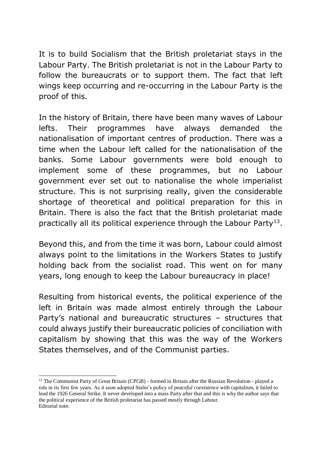It is to build Socialism that the British proletariat stays in the Labour Party. The British proletariat is not in the Labour Party to follow the bureaucrats or to support them. The fact that left wings keep occurring and re-occurring in the Labour Party is the proof of this.

In the history of Britain, there have been many waves of Labour lefts. Their programmes have always demanded the nationalisation of important centres of production. There was a time when the Labour left called for the nationalisation of the banks. Some Labour governments were bold enough to implement some of these programmes, but no Labour government ever set out to nationalise the whole imperialist structure. This is not surprising really, given the considerable shortage of theoretical and political preparation for this in Britain. There is also the fact that the British proletariat made practically all its political experience through the Labour Party<sup>13</sup>.

Beyond this, and from the time it was born, Labour could almost always point to the limitations in the Workers States to justify holding back from the socialist road. This went on for many years, long enough to keep the Labour bureaucracy in place!

Resulting from historical events, the political experience of the left in Britain was made almost entirely through the Labour Party's national and bureaucratic structures – structures that could always justify their bureaucratic policies of conciliation with capitalism by showing that this was the way of the Workers States themselves, and of the Communist parties.

<sup>&</sup>lt;sup>13</sup> The Communist Party of Great Britain (CPGB) - formed in Britain after the Russian Revolution - played a role in its first few years. As it soon adopted Stalin's policy of *peaceful coexistence* with capitalism, it failed to lead the 1926 General Strike. It never developed into a mass Party after that and this is why the author says that the political experience of the British proletariat has passed mostly through Labour. Editorial note.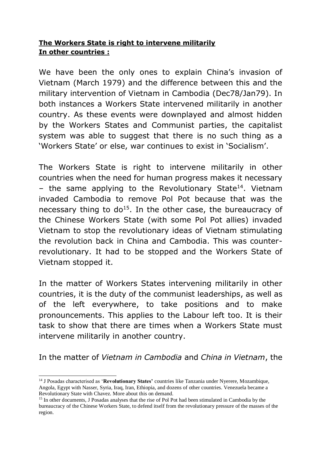## **The Workers State is right to intervene militarily In other countries :**

We have been the only ones to explain China's invasion of Vietnam (March 1979) and the difference between this and the military intervention of Vietnam in Cambodia (Dec78/Jan79). In both instances a Workers State intervened militarily in another country. As these events were downplayed and almost hidden by the Workers States and Communist parties, the capitalist system was able to suggest that there is no such thing as a 'Workers State' or else, war continues to exist in 'Socialism'.

The Workers State is right to intervene militarily in other countries when the need for human progress makes it necessary - the same applying to the Revolutionary State<sup>14</sup>. Vietnam invaded Cambodia to remove Pol Pot because that was the necessary thing to  $do^{15}$ . In the other case, the bureaucracy of the Chinese Workers State (with some Pol Pot allies) invaded Vietnam to stop the revolutionary ideas of Vietnam stimulating the revolution back in China and Cambodia. This was counterrevolutionary. It had to be stopped and the Workers State of Vietnam stopped it.

In the matter of Workers States intervening militarily in other countries, it is the duty of the communist leaderships, as well as of the left everywhere, to take positions and to make pronouncements. This applies to the Labour left too. It is their task to show that there are times when a Workers State must intervene militarily in another country.

In the matter of *Vietnam in Cambodia* and *China in Vietnam*, the

<sup>14</sup> J Posadas characterised as '**Revolutionary States'** countries like Tanzania under Nyerere, Mozambique, Angola, Egypt with Nasser, Syria, Iraq, Iran, Ethiopia, and dozens of other countries. Venezuela became a Revolutionary State with Chavez. More about this on demand.

<sup>&</sup>lt;sup>15</sup> In other documents, J Posadas analyses that the rise of Pol Pot had been stimulated in Cambodia by the bureaucracy of the Chinese Workers State, to defend itself from the revolutionary pressure of the masses of the region.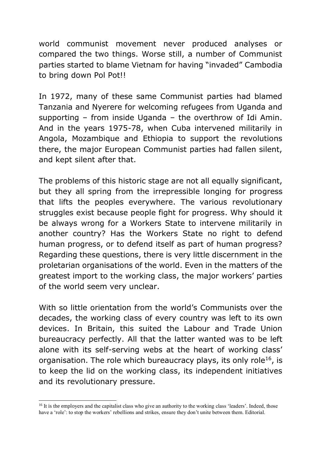world communist movement never produced analyses or compared the two things. Worse still, a number of Communist parties started to blame Vietnam for having "invaded" Cambodia to bring down Pol Pot!!

In 1972, many of these same Communist parties had blamed Tanzania and Nyerere for welcoming refugees from Uganda and supporting – from inside Uganda – the overthrow of Idi Amin. And in the years 1975-78, when Cuba intervened militarily in Angola, Mozambique and Ethiopia to support the revolutions there, the major European Communist parties had fallen silent, and kept silent after that.

The problems of this historic stage are not all equally significant, but they all spring from the irrepressible longing for progress that lifts the peoples everywhere. The various revolutionary struggles exist because people fight for progress. Why should it be always wrong for a Workers State to intervene militarily in another country? Has the Workers State no right to defend human progress, or to defend itself as part of human progress? Regarding these questions, there is very little discernment in the proletarian organisations of the world. Even in the matters of the greatest import to the working class, the major workers' parties of the world seem very unclear.

With so little orientation from the world's Communists over the decades, the working class of every country was left to its own devices. In Britain, this suited the Labour and Trade Union bureaucracy perfectly. All that the latter wanted was to be left alone with its self-serving webs at the heart of working class' organisation. The role which bureaucracy plays, its only role<sup>16</sup>, is to keep the lid on the working class, its independent initiatives and its revolutionary pressure.

<sup>&</sup>lt;sup>16</sup> It is the employers and the capitalist class who give an authority to the working class 'leaders'. Indeed, those have a 'role': to stop the workers' rebellions and strikes, ensure they don't unite between them. Editorial.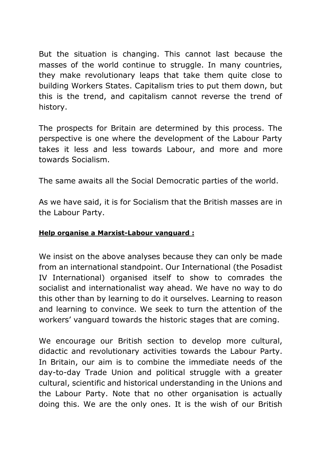But the situation is changing. This cannot last because the masses of the world continue to struggle. In many countries, they make revolutionary leaps that take them quite close to building Workers States. Capitalism tries to put them down, but this is the trend, and capitalism cannot reverse the trend of history.

The prospects for Britain are determined by this process. The perspective is one where the development of the Labour Party takes it less and less towards Labour, and more and more towards Socialism.

The same awaits all the Social Democratic parties of the world.

As we have said, it is for Socialism that the British masses are in the Labour Party.

# **Help organise a Marxist-Labour vanguard :**

We insist on the above analyses because they can only be made from an international standpoint. Our International (the Posadist IV International) organised itself to show to comrades the socialist and internationalist way ahead. We have no way to do this other than by learning to do it ourselves. Learning to reason and learning to convince. We seek to turn the attention of the workers' vanguard towards the historic stages that are coming.

We encourage our British section to develop more cultural, didactic and revolutionary activities towards the Labour Party. In Britain, our aim is to combine the immediate needs of the day-to-day Trade Union and political struggle with a greater cultural, scientific and historical understanding in the Unions and the Labour Party. Note that no other organisation is actually doing this. We are the only ones. It is the wish of our British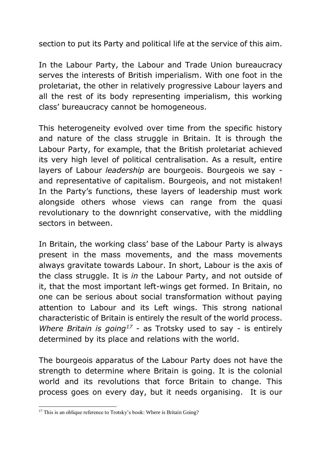section to put its Party and political life at the service of this aim.

In the Labour Party, the Labour and Trade Union bureaucracy serves the interests of British imperialism. With one foot in the proletariat, the other in relatively progressive Labour layers and all the rest of its body representing imperialism, this working class' bureaucracy cannot be homogeneous.

This heterogeneity evolved over time from the specific history and nature of the class struggle in Britain. It is through the Labour Party, for example, that the British proletariat achieved its very high level of political centralisation. As a result, entire layers of Labour *leadership* are bourgeois. Bourgeois we say and representative of capitalism. Bourgeois, and not mistaken! In the Party's functions, these layers of leadership must work alongside others whose views can range from the quasi revolutionary to the downright conservative, with the middling sectors in between.

In Britain, the working class' base of the Labour Party is always present in the mass movements, and the mass movements always gravitate towards Labour. In short, Labour is the axis of the class struggle. It is *in* the Labour Party, and not outside of it, that the most important left-wings get formed. In Britain, no one can be serious about social transformation without paying attention to Labour and its Left wings. This strong national characteristic of Britain is entirely the result of the world process. *Where Britain is going<sup>17</sup>* - as Trotsky used to say - is entirely determined by its place and relations with the world.

The bourgeois apparatus of the Labour Party does not have the strength to determine where Britain is going. It is the colonial world and its revolutions that force Britain to change. This process goes on every day, but it needs organising. It is our

 $17$  This is an oblique reference to Trotsky's book: Where is Britain Going?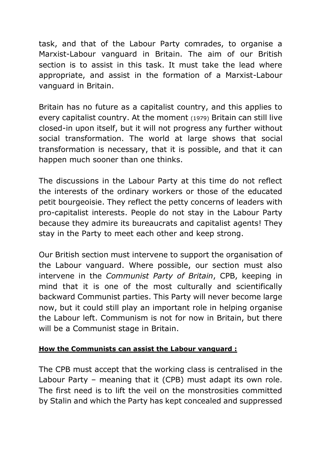task, and that of the Labour Party comrades, to organise a Marxist-Labour vanguard in Britain. The aim of our British section is to assist in this task. It must take the lead where appropriate, and assist in the formation of a Marxist-Labour vanguard in Britain.

Britain has no future as a capitalist country, and this applies to every capitalist country. At the moment (1979) Britain can still live closed-in upon itself, but it will not progress any further without social transformation. The world at large shows that social transformation is necessary, that it is possible, and that it can happen much sooner than one thinks.

The discussions in the Labour Party at this time do not reflect the interests of the ordinary workers or those of the educated petit bourgeoisie. They reflect the petty concerns of leaders with pro-capitalist interests. People do not stay in the Labour Party because they admire its bureaucrats and capitalist agents! They stay in the Party to meet each other and keep strong.

Our British section must intervene to support the organisation of the Labour vanguard. Where possible, our section must also intervene in the *Communist Party of Britain*, CPB, keeping in mind that it is one of the most culturally and scientifically backward Communist parties. This Party will never become large now, but it could still play an important role in helping organise the Labour left. Communism is not for now in Britain, but there will be a Communist stage in Britain.

# **How the Communists can assist the Labour vanguard :**

The CPB must accept that the working class is centralised in the Labour Party – meaning that it (CPB) must adapt its own role. The first need is to lift the veil on the monstrosities committed by Stalin and which the Party has kept concealed and suppressed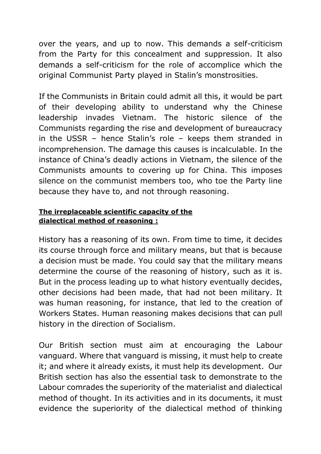over the years, and up to now. This demands a self-criticism from the Party for this concealment and suppression. It also demands a self-criticism for the role of accomplice which the original Communist Party played in Stalin's monstrosities.

If the Communists in Britain could admit all this, it would be part of their developing ability to understand why the Chinese leadership invades Vietnam. The historic silence of the Communists regarding the rise and development of bureaucracy in the USSR – hence Stalin's role – keeps them stranded in incomprehension. The damage this causes is incalculable. In the instance of China's deadly actions in Vietnam, the silence of the Communists amounts to covering up for China. This imposes silence on the communist members too, who toe the Party line because they have to, and not through reasoning.

## **The irreplaceable scientific capacity of the dialectical method of reasoning :**

History has a reasoning of its own. From time to time, it decides its course through force and military means, but that is because a decision must be made. You could say that the military means determine the course of the reasoning of history, such as it is. But in the process leading up to what history eventually decides, other decisions had been made, that had not been military. It was human reasoning, for instance, that led to the creation of Workers States. Human reasoning makes decisions that can pull history in the direction of Socialism.

Our British section must aim at encouraging the Labour vanguard. Where that vanguard is missing, it must help to create it; and where it already exists, it must help its development. Our British section has also the essential task to demonstrate to the Labour comrades the superiority of the materialist and dialectical method of thought. In its activities and in its documents, it must evidence the superiority of the dialectical method of thinking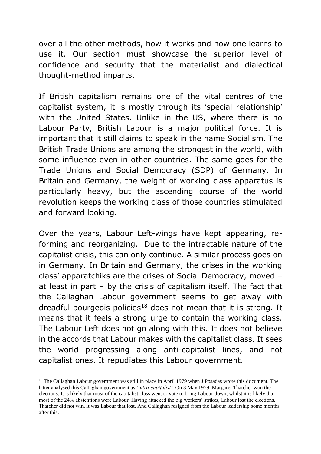over all the other methods, how it works and how one learns to use it. Our section must showcase the superior level of confidence and security that the materialist and dialectical thought-method imparts.

If British capitalism remains one of the vital centres of the capitalist system, it is mostly through its 'special relationship' with the United States. Unlike in the US, where there is no Labour Party, British Labour is a major political force. It is important that it still claims to speak in the name Socialism. The British Trade Unions are among the strongest in the world, with some influence even in other countries. The same goes for the Trade Unions and Social Democracy (SDP) of Germany. In Britain and Germany, the weight of working class apparatus is particularly heavy, but the ascending course of the world revolution keeps the working class of those countries stimulated and forward looking.

Over the years, Labour Left-wings have kept appearing, reforming and reorganizing. Due to the intractable nature of the capitalist crisis, this can only continue. A similar process goes on in Germany. In Britain and Germany, the crises in the working class' apparatchiks are the crises of Social Democracy, moved – at least in part – by the crisis of capitalism itself. The fact that the Callaghan Labour government seems to get away with dreadful bourgeois policies<sup>18</sup> does not mean that it is strong. It means that it feels a strong urge to contain the working class. The Labour Left does not go along with this. It does not believe in the accords that Labour makes with the capitalist class. It sees the world progressing along anti-capitalist lines, and not capitalist ones. It repudiates this Labour government.

<sup>&</sup>lt;sup>18</sup> The Callaghan Labour government was still in place in April 1979 when J Posadas wrote this document. The latter analysed this Callaghan government as '*ultra-capitalist'*. On 3 May 1979, Margaret Thatcher won the elections. It is likely that most of the capitalist class went to vote to bring Labour down, whilst it is likely that most of the 24% abstentions were Labour. Having attacked the big workers' strikes, Labour lost the elections. Thatcher did not win, it was Labour that lost. And Callaghan resigned from the Labour leadership some months after this.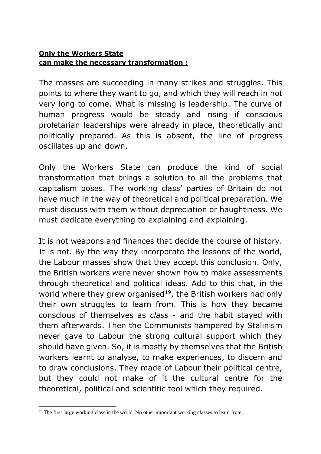#### **Only the Workers State can make the necessary transformation :**

The masses are succeeding in many strikes and struggles. This points to where they want to go, and which they will reach in not very long to come. What is missing is leadership. The curve of human progress would be steady and rising if conscious proletarian leaderships were already in place, theoretically and politically prepared. As this is absent, the line of progress oscillates up and down.

Only the Workers State can produce the kind of social transformation that brings a solution to all the problems that capitalism poses. The working class' parties of Britain do not have much in the way of theoretical and political preparation. We must discuss with them without depreciation or haughtiness. We must dedicate everything to explaining and explaining.

It is not weapons and finances that decide the course of history. It is not. By the way they incorporate the lessons of the world, the Labour masses show that they accept this conclusion. Only, the British workers were never shown how to make assessments through theoretical and political ideas. Add to this that, in the world where they grew organised<sup>19</sup>, the British workers had only their own struggles to learn from. This is how they became conscious of themselves as *class* - and the habit stayed with them afterwards. Then the Communists hampered by Stalinism never gave to Labour the strong cultural support which they should have given. So, it is mostly by themselves that the British workers learnt to analyse, to make experiences, to discern and to draw conclusions. They made of Labour their political centre, but they could not make of it the cultural centre for the theoretical, political and scientific tool which they required.

<sup>-</sup> $19$  The first large working class in the world. No other important working classes to learn from.